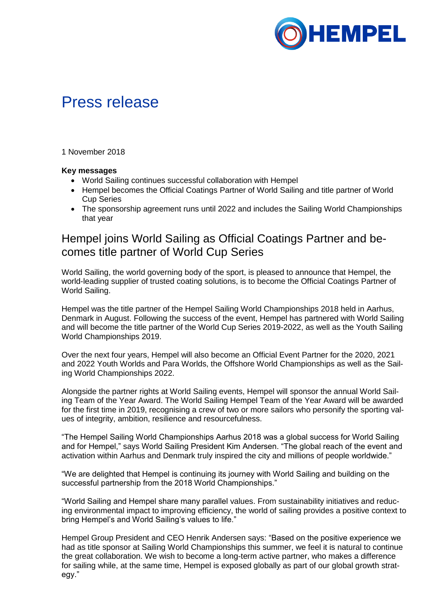

# Press release

1 November 2018

### **Key messages**

- World Sailing continues successful collaboration with Hempel
- Hempel becomes the Official Coatings Partner of World Sailing and title partner of World Cup Series
- The sponsorship agreement runs until 2022 and includes the Sailing World Championships that year

## Hempel joins World Sailing as Official Coatings Partner and becomes title partner of World Cup Series

World Sailing, the world governing body of the sport, is pleased to announce that Hempel, the world-leading supplier of trusted coating solutions, is to become the Official Coatings Partner of World Sailing.

Hempel was the title partner of the Hempel Sailing World Championships 2018 held in Aarhus, Denmark in August. Following the success of the event, Hempel has partnered with World Sailing and will become the title partner of the World Cup Series 2019-2022, as well as the Youth Sailing World Championships 2019.

Over the next four years, Hempel will also become an Official Event Partner for the 2020, 2021 and 2022 Youth Worlds and Para Worlds, the Offshore World Championships as well as the Sailing World Championships 2022.

Alongside the partner rights at World Sailing events, Hempel will sponsor the annual World Sailing Team of the Year Award. The World Sailing Hempel Team of the Year Award will be awarded for the first time in 2019, recognising a crew of two or more sailors who personify the sporting values of integrity, ambition, resilience and resourcefulness.

"The Hempel Sailing World Championships Aarhus 2018 was a global success for World Sailing and for Hempel," says World Sailing President Kim Andersen. "The global reach of the event and activation within Aarhus and Denmark truly inspired the city and millions of people worldwide."

"We are delighted that Hempel is continuing its journey with World Sailing and building on the successful partnership from the 2018 World Championships."

"World Sailing and Hempel share many parallel values. From sustainability initiatives and reducing environmental impact to improving efficiency, the world of sailing provides a positive context to bring Hempel's and World Sailing's values to life."

Hempel Group President and CEO Henrik Andersen says: "Based on the positive experience we had as title sponsor at Sailing World Championships this summer, we feel it is natural to continue the great collaboration. We wish to become a long-term active partner, who makes a difference for sailing while, at the same time, Hempel is exposed globally as part of our global growth strategy."